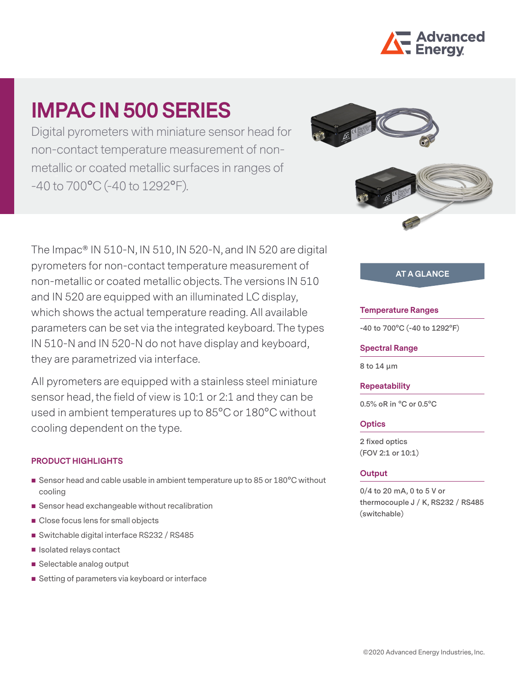

# **IMPAC IN 500 SERIES**

Digital pyrometers with miniature sensor head for non-contact temperature measurement of nonmetallic or coated metallic surfaces in ranges of -40 to 700°C (-40 to 1292°F).

The Impac® IN 510-N, IN 510, IN 520-N, and IN 520 are digital pyrometers for non-contact temperature measurement of non-metallic or coated metallic objects. The versions IN 510 and IN 520 are equipped with an illuminated LC display, which shows the actual temperature reading. All available parameters can be set via the integrated keyboard. The types IN 510-N and IN 520-N do not have display and keyboard, they are parametrized via interface.

All pyrometers are equipped with a stainless steel miniature sensor head, the field of view is 10:1 or 2:1 and they can be used in ambient temperatures up to 85°C or 180°C without cooling dependent on the type.

## **PRODUCT HIGHLIGHTS**

- Sensor head and cable usable in ambient temperature up to 85 or 180°C without cooling
- Sensor head exchangeable without recalibration
- Close focus lens for small objects
- Switchable digital interface RS232 / RS485
- Isolated relays contact
- Selectable analog output
- Setting of parameters via keyboard or interface





# **AT A GLANCE**

#### **Temperature Ranges**

**-40 to 700°C (-40 to 1292°F)**

#### **Spectral Range**

**8 to 14 µm**

#### **Repeatability**

**0.5% oR in °C or 0.5°C**

## **Optics**

**2 fixed optics (FOV 2:1 or 10:1)**

## **Output**

**0/4 to 20 mA, 0 to 5 V or thermocouple J / K, RS232 / RS485 (switchable)**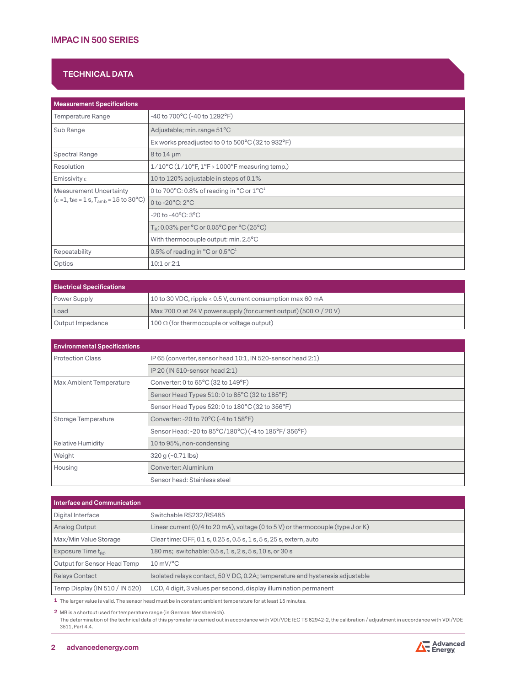## **TECHNICAL DATA**

| <b>Measurement Specifications</b>                                                                                     |                                                                                       |  |
|-----------------------------------------------------------------------------------------------------------------------|---------------------------------------------------------------------------------------|--|
| Temperature Range                                                                                                     | -40 to 700°C (-40 to 1292°F)                                                          |  |
| Sub Range                                                                                                             | Adjustable; min. range 51°C                                                           |  |
|                                                                                                                       | Ex works preadjusted to 0 to 500°C (32 to 932°F)                                      |  |
| Spectral Range                                                                                                        | $8$ to 14 $\mu$ m                                                                     |  |
| Resolution                                                                                                            | $1/10^{\circ}$ C $(1/10^{\circ}$ F, 1°F > 1000°F measuring temp.)                     |  |
| Emissivity $\varepsilon$<br>10 to 120% adjustable in steps of 0.1%                                                    |                                                                                       |  |
| <b>Measurement Uncertainty</b><br>$(\epsilon = 1, t_{90} = 1 \text{ s}, T_{amb} = 15 \text{ to } 30^{\circ}\text{C})$ | 0 to 700 $^{\circ}$ C: 0.8% of reading in $^{\circ}$ C or 1 $^{\circ}$ C <sup>1</sup> |  |
|                                                                                                                       | 0 to $-20^{\circ}$ C: $2^{\circ}$ C                                                   |  |
|                                                                                                                       | -20 to -40°C: 3°C                                                                     |  |
|                                                                                                                       | $T_{\rm K}$ : 0.03% per °C or 0.05°C per °C (25°C)                                    |  |
|                                                                                                                       | With thermocouple output: min. 2.5°C                                                  |  |
| Repeatability                                                                                                         | 0.5% of reading in $^{\circ}$ C or 0.5 $^{\circ}$ C <sup>1</sup>                      |  |
| Optics                                                                                                                | $10:1$ or $2:1$                                                                       |  |

| <b>Electrical Specifications</b> |                                                                                          |  |
|----------------------------------|------------------------------------------------------------------------------------------|--|
| Power Supply                     | 10 to 30 VDC, ripple < 0.5 V, current consumption max 60 mA                              |  |
| Load                             | $\vert$ Max 700 $\Omega$ at 24 V power supply (for current output) (500 $\Omega$ / 20 V) |  |
| Output Impedance                 | 100 $\Omega$ (for thermocouple or voltage output)                                        |  |

| <b>Environmental Specifications</b> |                                                            |
|-------------------------------------|------------------------------------------------------------|
| <b>Protection Class</b>             | IP65 (converter, sensor head 10:1, IN 520-sensor head 2:1) |
|                                     | IP 20 (IN 510-sensor head 2:1)                             |
| Max Ambient Temperature             | Converter: 0 to 65°C (32 to 149°F)                         |
|                                     | Sensor Head Types 510: 0 to 85°C (32 to 185°F)             |
|                                     | Sensor Head Types 520: 0 to 180°C (32 to 356°F)            |
| Storage Temperature                 | Converter: -20 to 70°C (-4 to 158°F)                       |
|                                     | Sensor Head: -20 to 85°C/180°C) (-4 to 185°F/356°F)        |
| <b>Relative Humidity</b>            | 10 to 95%, non-condensing                                  |
| Weight                              | $320 g (~0.71$ lbs)                                        |
| Housing                             | Converter: Aluminium                                       |
|                                     | Sensor head: Stainless steel                               |

| <b>Interface and Communication</b> |                                                                                 |  |
|------------------------------------|---------------------------------------------------------------------------------|--|
| Digital Interface                  | Switchable RS232/RS485                                                          |  |
| Analog Output                      | Linear current (0/4 to 20 mA), voltage (0 to 5 V) or thermocouple (type J or K) |  |
| Max/Min Value Storage              | Clear time: OFF, 0.1 s, 0.25 s, 0.5 s, 1 s, 5 s, 25 s, extern, auto             |  |
| Exposure Time $t_{\alpha 0}$       | 180 ms; switchable: 0.5 s, 1 s, 2 s, 5 s, 10 s, or 30 s                         |  |
| Output for Sensor Head Temp        | $10 \text{ mV}$ <sup>o</sup> C                                                  |  |
| <b>Relays Contact</b>              | Isolated relays contact, 50 V DC, 0.2A; temperature and hysteresis adjustable   |  |
| Temp Display (IN 510 / IN 520)     | LCD, 4 digit, 3 values per second, display illumination permanent               |  |

**1** The larger value is valid. The sensor head must be in constant ambient temperature for at least 15 minutes.

**2** MB is a shortcut used for temperature range (in German: Messbereich).

The determination of the technical data of this pyrometer is carried out in accordance with VDI/VDE IEC TS 62942-2, the calibration / adjustment in accordance with VDI/VDE 3511, Part 4.4.

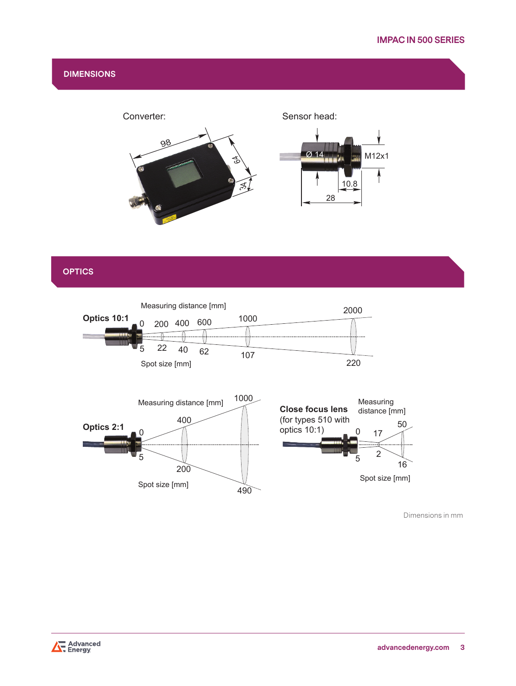## **DIMENSIONS**



# **OPTICS**



Dimensions in mm